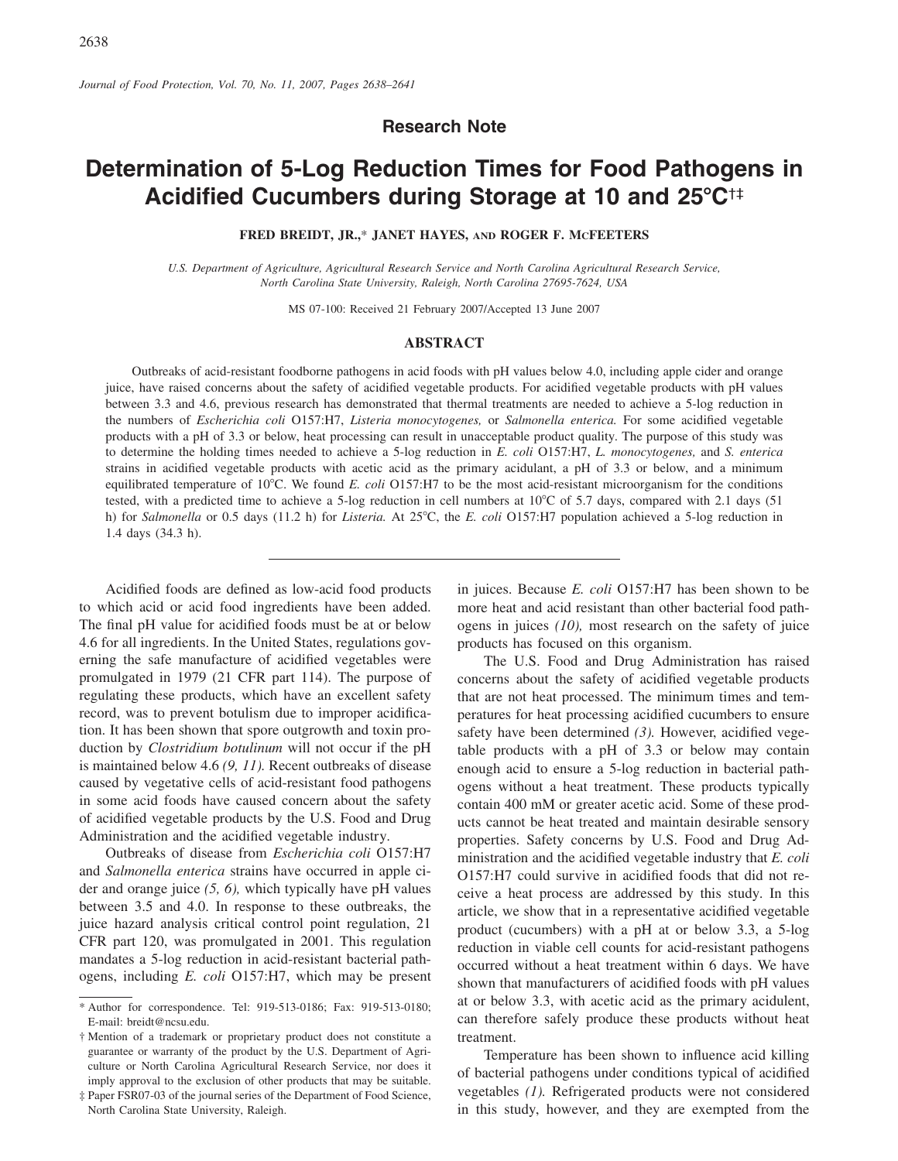**Research Note** 

# Determination of 5-Log Reduction Times for Food Pathogens in Acidified Cucumbers during Storage at 10 and 25°C<sup>++</sup>

FRED BREIDT, JR.,\* JANET HAYES, AND ROGER F. MCFEETERS

U.S. Department of Agriculture, Agricultural Research Service and North Carolina Agricultural Research Service, North Carolina State University, Raleigh, North Carolina 27695-7624, USA

MS 07-100: Received 21 February 2007/Accepted 13 June 2007

## **ABSTRACT**

Outbreaks of acid-resistant foodborne pathogens in acid foods with pH values below 4.0, including apple cider and orange juice, have raised concerns about the safety of acidified vegetable products. For acidified vegetable products with pH values between 3.3 and 4.6, previous research has demonstrated that thermal treatments are needed to achieve a 5-log reduction in the numbers of Escherichia coli O157:H7, Listeria monocytogenes, or Salmonella enterica. For some acidified vegetable products with a pH of 3.3 or below, heat processing can result in unacceptable product quality. The purpose of this study was to determine the holding times needed to achieve a 5-log reduction in E. coli O157:H7, L. monocytogenes, and S. enterica strains in acidified vegetable products with acetic acid as the primary acidulant, a pH of 3.3 or below, and a minimum equilibrated temperature of 10°C. We found E. coli O157:H7 to be the most acid-resistant microorganism for the conditions tested, with a predicted time to achieve a 5-log reduction in cell numbers at 10°C of 5.7 days, compared with 2.1 days (51) h) for Salmonella or 0.5 days (11.2 h) for Listeria. At 25°C, the E. coli O157:H7 population achieved a 5-log reduction in 1.4 days (34.3 h).

Acidified foods are defined as low-acid food products to which acid or acid food ingredients have been added. The final pH value for acidified foods must be at or below 4.6 for all ingredients. In the United States, regulations governing the safe manufacture of acidified vegetables were promulgated in 1979 (21 CFR part 114). The purpose of regulating these products, which have an excellent safety record, was to prevent botulism due to improper acidification. It has been shown that spore outgrowth and toxin production by *Clostridium botulinum* will not occur if the pH is maintained below 4.6  $(9, 11)$ . Recent outbreaks of disease caused by vegetative cells of acid-resistant food pathogens in some acid foods have caused concern about the safety of acidified vegetable products by the U.S. Food and Drug Administration and the acidified vegetable industry.

Outbreaks of disease from *Escherichia coli* O157:H7 and Salmonella enterica strains have occurred in apple cider and orange juice  $(5, 6)$ , which typically have pH values between 3.5 and 4.0. In response to these outbreaks, the juice hazard analysis critical control point regulation, 21 CFR part 120, was promulgated in 2001. This regulation mandates a 5-log reduction in acid-resistant bacterial pathogens, including E. coli O157:H7, which may be present in juices. Because E. coli O157:H7 has been shown to be more heat and acid resistant than other bacterial food pathogens in juices  $(10)$ , most research on the safety of juice products has focused on this organism.

The U.S. Food and Drug Administration has raised concerns about the safety of acidified vegetable products that are not heat processed. The minimum times and temperatures for heat processing acidified cucumbers to ensure safety have been determined  $(3)$ . However, acidified vegetable products with a pH of 3.3 or below may contain enough acid to ensure a 5-log reduction in bacterial pathogens without a heat treatment. These products typically contain 400 mM or greater acetic acid. Some of these products cannot be heat treated and maintain desirable sensory properties. Safety concerns by U.S. Food and Drug Administration and the acidified vegetable industry that  $E$ .  $\text{coli}$ O157:H7 could survive in acidified foods that did not receive a heat process are addressed by this study. In this article, we show that in a representative acidified vegetable product (cucumbers) with a pH at or below 3.3, a 5-log reduction in viable cell counts for acid-resistant pathogens occurred without a heat treatment within 6 days. We have shown that manufacturers of acidified foods with pH values at or below 3.3, with acetic acid as the primary acidulent, can therefore safely produce these products without heat treatment.

Temperature has been shown to influence acid killing of bacterial pathogens under conditions typical of acidified vegetables (1). Refrigerated products were not considered in this study, however, and they are exempted from the

<sup>\*</sup> Author for correspondence. Tel: 919-513-0186; Fax: 919-513-0180; E-mail: breidt@ncsu.edu.

<sup>†</sup> Mention of a trademark or proprietary product does not constitute a guarantee or warranty of the product by the U.S. Department of Agriculture or North Carolina Agricultural Research Service, nor does it imply approval to the exclusion of other products that may be suitable.

<sup>#</sup> Paper FSR07-03 of the journal series of the Department of Food Science, North Carolina State University, Raleigh.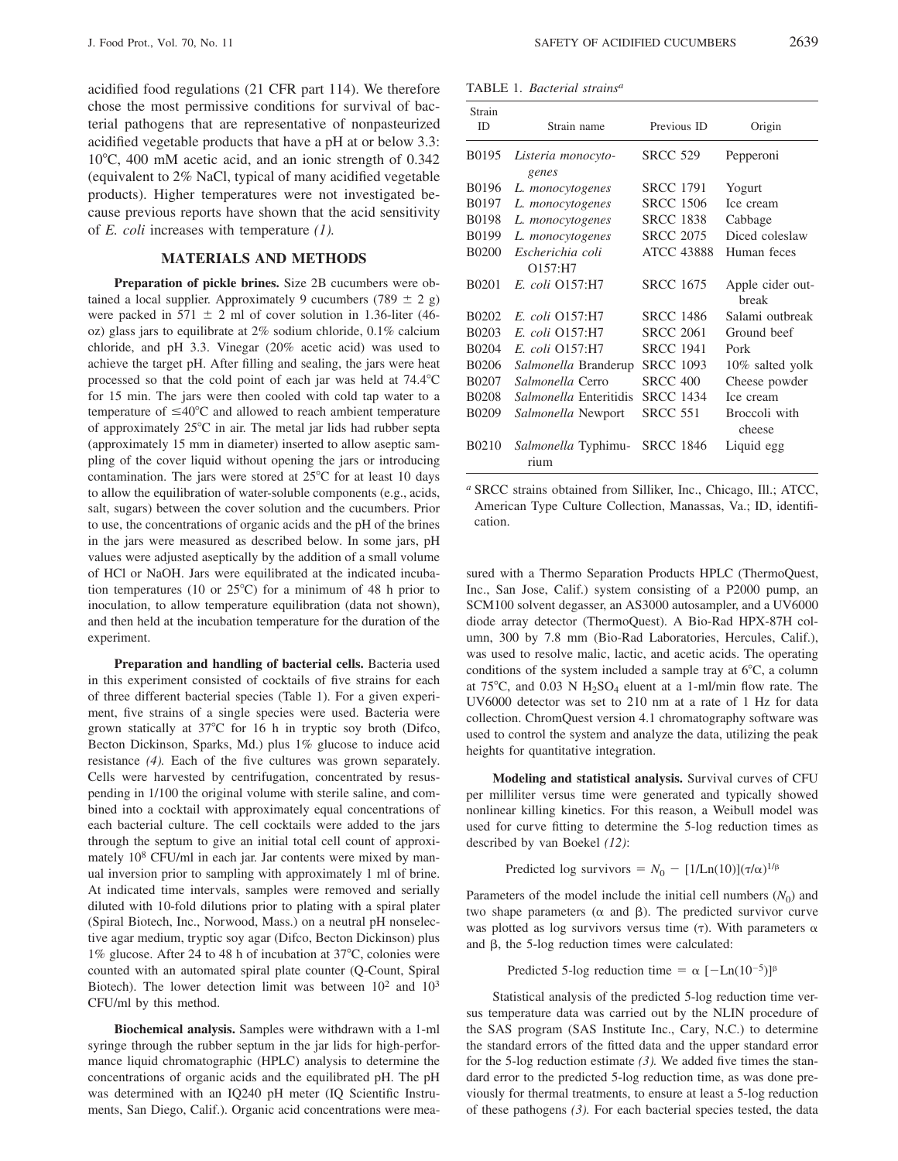acidified food regulations (21 CFR part 114). We therefore chose the most permissive conditions for survival of bacterial pathogens that are representative of nonpasteurized acidified vegetable products that have a pH at or below 3.3: 10°C, 400 mM acetic acid, and an ionic strength of 0.342 (equivalent to 2% NaCl, typical of many acidified vegetable products). Higher temperatures were not investigated because previous reports have shown that the acid sensitivity of E. coli increases with temperature  $(1)$ .

# **MATERIALS AND METHODS**

Preparation of pickle brines. Size 2B cucumbers were obtained a local supplier. Approximately 9 cucumbers (789  $\pm$  2 g) were packed in 571  $\pm$  2 ml of cover solution in 1.36-liter (46oz) glass jars to equilibrate at 2% sodium chloride, 0.1% calcium chloride, and pH 3.3. Vinegar (20% acetic acid) was used to achieve the target pH. After filling and sealing, the jars were heat processed so that the cold point of each jar was held at 74.4°C for 15 min. The jars were then cooled with cold tap water to a temperature of  $\leq 40^{\circ}$ C and allowed to reach ambient temperature of approximately 25°C in air. The metal jar lids had rubber septa (approximately 15 mm in diameter) inserted to allow aseptic sampling of the cover liquid without opening the jars or introducing contamination. The jars were stored at 25°C for at least 10 days to allow the equilibration of water-soluble components (e.g., acids, salt, sugars) between the cover solution and the cucumbers. Prior to use, the concentrations of organic acids and the pH of the brines in the jars were measured as described below. In some jars, pH values were adjusted aseptically by the addition of a small volume of HCl or NaOH. Jars were equilibrated at the indicated incubation temperatures (10 or  $25^{\circ}$ C) for a minimum of 48 h prior to inoculation, to allow temperature equilibration (data not shown), and then held at the incubation temperature for the duration of the experiment.

Preparation and handling of bacterial cells. Bacteria used in this experiment consisted of cocktails of five strains for each of three different bacterial species (Table 1). For a given experiment, five strains of a single species were used. Bacteria were grown statically at 37°C for 16 h in tryptic soy broth (Difco, Becton Dickinson, Sparks, Md.) plus 1% glucose to induce acid resistance  $(4)$ . Each of the five cultures was grown separately. Cells were harvested by centrifugation, concentrated by resuspending in 1/100 the original volume with sterile saline, and combined into a cocktail with approximately equal concentrations of each bacterial culture. The cell cocktails were added to the jars through the septum to give an initial total cell count of approximately 10<sup>8</sup> CFU/ml in each jar. Jar contents were mixed by manual inversion prior to sampling with approximately 1 ml of brine. At indicated time intervals, samples were removed and serially diluted with 10-fold dilutions prior to plating with a spiral plater (Spiral Biotech, Inc., Norwood, Mass.) on a neutral pH nonselective agar medium, tryptic soy agar (Difco, Becton Dickinson) plus 1% glucose. After 24 to 48 h of incubation at 37°C, colonies were counted with an automated spiral plate counter (Q-Count, Spiral Biotech). The lower detection limit was between  $10^2$  and  $10^3$ CFU/ml by this method.

Biochemical analysis. Samples were withdrawn with a 1-ml syringe through the rubber septum in the jar lids for high-performance liquid chromatographic (HPLC) analysis to determine the concentrations of organic acids and the equilibrated pH. The pH was determined with an IQ240 pH meter (IQ Scientific Instruments, San Diego, Calif.). Organic acid concentrations were mea-

|  |  | TABLE 1. <i>Bacterial strains<sup>a</sup></i> |  |
|--|--|-----------------------------------------------|--|
|--|--|-----------------------------------------------|--|

| Strain<br><b>ID</b> | Strain name                   | Previous ID       | Origin                    |
|---------------------|-------------------------------|-------------------|---------------------------|
| B0195               | Listeria monocyto-            | <b>SRCC 529</b>   | Pepperoni                 |
|                     | genes                         |                   |                           |
| <b>B0196</b>        | L. monocytogenes              | <b>SRCC 1791</b>  | Yogurt                    |
| B0197               | L. monocytogenes              | <b>SRCC 1506</b>  | Ice cream                 |
| <b>B0198</b>        | L. monocytogenes              | <b>SRCC 1838</b>  | Cabbage                   |
| B0199               | L. monocytogenes              | <b>SRCC 2075</b>  | Diced coleslaw            |
| <b>B0200</b>        | Escherichia coli              | <b>ATCC 43888</b> | Human feces               |
|                     | O157:H7                       |                   |                           |
| <b>B0201</b>        | E. coli Q157:H7               | <b>SRCC 1675</b>  | Apple cider out-<br>break |
| <b>B0202</b>        | E. coli Q157:H7               | <b>SRCC 1486</b>  | Salami outbreak           |
| B <sub>0203</sub>   | E. coli Q157:H7               | <b>SRCC 2061</b>  | Ground beef               |
| B0204               | E. coli 0157:H7               | <b>SRCC 1941</b>  | Pork                      |
| <b>B0206</b>        | Salmonella Branderup          | <b>SRCC 1093</b>  | 10% salted yolk           |
| <b>B0207</b>        | <i>Salmonella</i> Cerro       | <b>SRCC 400</b>   | Cheese powder             |
| <b>B0208</b>        | <i>Salmonella</i> Enteritidis | <b>SRCC 1434</b>  | Ice cream                 |
| <b>B0209</b>        | Salmonella Newport            | <b>SRCC 551</b>   | Broccoli with             |
|                     |                               |                   | cheese                    |
| B <sub>0210</sub>   | Salmonella Typhimu-<br>rium   | <b>SRCC 1846</b>  | Liquid egg                |

<sup>a</sup> SRCC strains obtained from Silliker, Inc., Chicago, Ill.; ATCC, American Type Culture Collection, Manassas, Va.; ID, identification.

sured with a Thermo Separation Products HPLC (ThermoQuest, Inc., San Jose, Calif.) system consisting of a P2000 pump, an SCM100 solvent degasser, an AS3000 autosampler, and a UV6000 diode array detector (ThermoQuest). A Bio-Rad HPX-87H column, 300 by 7.8 mm (Bio-Rad Laboratories, Hercules, Calif.), was used to resolve malic, lactic, and acetic acids. The operating conditions of the system included a sample tray at  $6^{\circ}$ C, a column at  $75^{\circ}$ C, and 0.03 N H<sub>2</sub>SO<sub>4</sub> eluent at a 1-ml/min flow rate. The UV6000 detector was set to 210 nm at a rate of 1 Hz for data collection. ChromQuest version 4.1 chromatography software was used to control the system and analyze the data, utilizing the peak heights for quantitative integration.

Modeling and statistical analysis. Survival curves of CFU per milliliter versus time were generated and typically showed nonlinear killing kinetics. For this reason, a Weibull model was used for curve fitting to determine the 5-log reduction times as described by van Boekel (12):

Predicted log survivors =  $N_0$  – [1/Ln(10)]( $\tau/\alpha$ )<sup>1/ $\beta$ </sup>

Parameters of the model include the initial cell numbers  $(N_0)$  and two shape parameters ( $\alpha$  and  $\beta$ ). The predicted survivor curve was plotted as log survivors versus time  $(\tau)$ . With parameters  $\alpha$ and  $\beta$ , the 5-log reduction times were calculated:

Predicted 5-log reduction time =  $\alpha$  [-Ln(10<sup>-5</sup>)]<sup> $\beta$ </sup>

Statistical analysis of the predicted 5-log reduction time versus temperature data was carried out by the NLIN procedure of the SAS program (SAS Institute Inc., Cary, N.C.) to determine the standard errors of the fitted data and the upper standard error for the 5-log reduction estimate  $(3)$ . We added five times the standard error to the predicted 5-log reduction time, as was done previously for thermal treatments, to ensure at least a 5-log reduction of these pathogens  $(3)$ . For each bacterial species tested, the data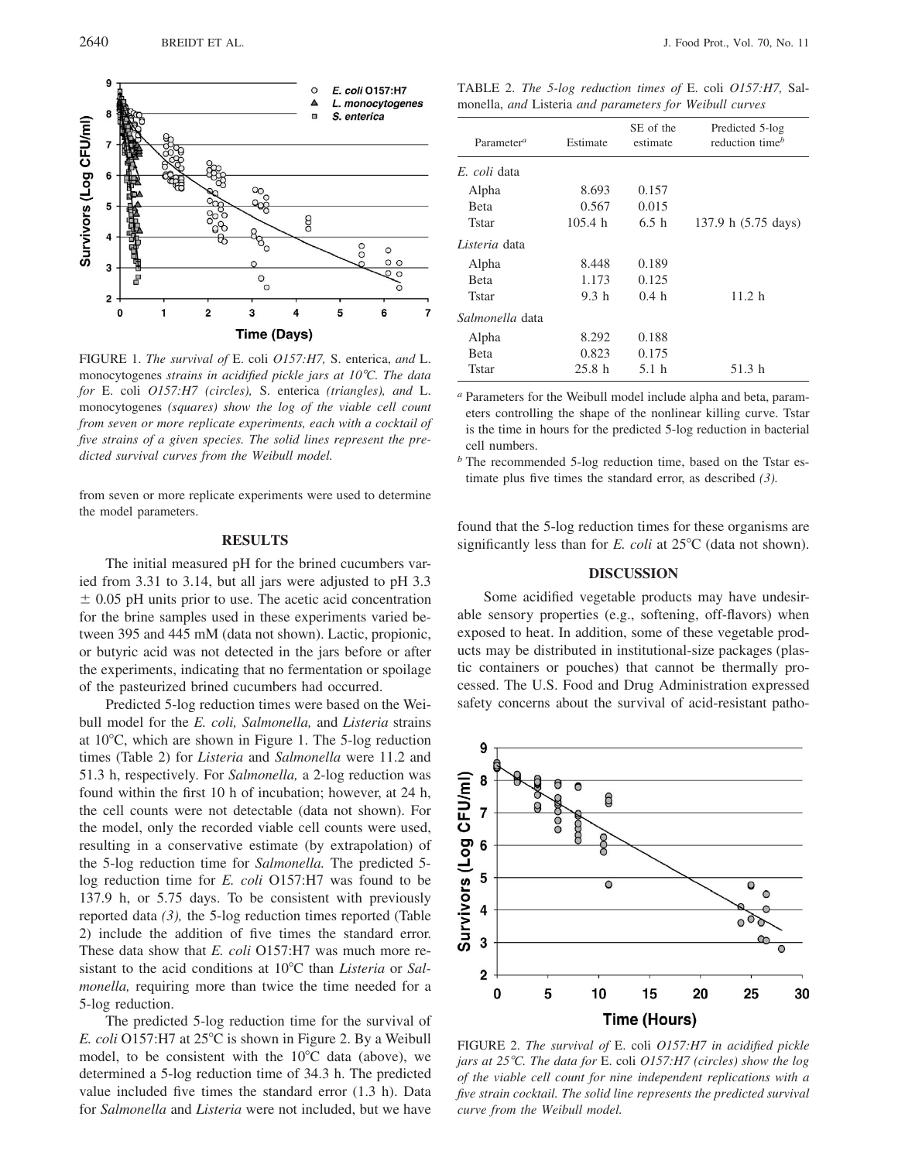

FIGURE 1. The survival of E. coli O157:H7, S. enterica, and L. monocytogenes strains in acidified pickle jars at 10°C. The data for E. coli O157:H7 (circles), S. enterica (triangles), and L. monocytogenes (squares) show the log of the viable cell count from seven or more replicate experiments, each with a cocktail of five strains of a given species. The solid lines represent the predicted survival curves from the Weibull model.

from seven or more replicate experiments were used to determine the model parameters.

# **RESULTS**

The initial measured pH for the brined cucumbers varied from 3.31 to 3.14, but all jars were adjusted to pH 3.3  $\pm$  0.05 pH units prior to use. The acetic acid concentration for the brine samples used in these experiments varied between 395 and 445 mM (data not shown). Lactic, propionic, or butyric acid was not detected in the jars before or after the experiments, indicating that no fermentation or spoilage of the pasteurized brined cucumbers had occurred.

Predicted 5-log reduction times were based on the Weibull model for the E. coli, Salmonella, and Listeria strains at  $10^{\circ}$ C, which are shown in Figure 1. The 5-log reduction times (Table 2) for *Listeria* and *Salmonella* were 11.2 and 51.3 h, respectively. For Salmonella, a 2-log reduction was found within the first 10 h of incubation; however, at 24 h, the cell counts were not detectable (data not shown). For the model, only the recorded viable cell counts were used, resulting in a conservative estimate (by extrapolation) of the 5-log reduction time for Salmonella. The predicted 5log reduction time for E. coli O157:H7 was found to be 137.9 h, or 5.75 days. To be consistent with previously reported data  $(3)$ , the 5-log reduction times reported (Table 2) include the addition of five times the standard error. These data show that *E. coli* O157:H7 was much more resistant to the acid conditions at 10°C than Listeria or Salmonella, requiring more than twice the time needed for a 5-log reduction.

The predicted 5-log reduction time for the survival of E. coli O157:H7 at 25°C is shown in Figure 2. By a Weibull model, to be consistent with the  $10^{\circ}$ C data (above), we determined a 5-log reduction time of 34.3 h. The predicted value included five times the standard error (1.3 h). Data for Salmonella and Listeria were not included, but we have

TABLE 2. The 5-log reduction times of E. coli O157:H7, Salmonella, and Listeria and parameters for Weibull curves

| Parameter <sup>a</sup> | Estimate         | SE of the<br>estimate | Predicted 5-log<br>reduction time <sup>b</sup> |
|------------------------|------------------|-----------------------|------------------------------------------------|
| E. coli data           |                  |                       |                                                |
| Alpha                  | 8.693            | 0.157                 |                                                |
| <b>Beta</b>            | 0.567            | 0.015                 |                                                |
| <b>Tstar</b>           | 105.4 h          | 6.5h                  | 137.9 h (5.75 days)                            |
| Listeria data          |                  |                       |                                                |
| Alpha                  | 8.448            | 0.189                 |                                                |
| <b>B</b> eta           | 1.173            | 0.125                 |                                                |
| Tstar                  | 9.3 <sub>h</sub> | 0.4 <sub>h</sub>      | 11.2 h                                         |
| Salmonella data        |                  |                       |                                                |
| Alpha                  | 8.292            | 0.188                 |                                                |
| <b>Beta</b>            | 0.823            | 0.175                 |                                                |
| <b>Tstar</b>           | 25.8h            | 5.1 h                 | 51.3h                                          |

<sup>*a*</sup> Parameters for the Weibull model include alpha and beta, parameters controlling the shape of the nonlinear killing curve. Tstar is the time in hours for the predicted 5-log reduction in bacterial cell numbers.

 $<sup>b</sup>$  The recommended 5-log reduction time, based on the Tstar es-</sup> timate plus five times the standard error, as described  $(3)$ .

found that the 5-log reduction times for these organisms are significantly less than for E. coli at  $25^{\circ}$ C (data not shown).

### **DISCUSSION**

Some acidified vegetable products may have undesirable sensory properties (e.g., softening, off-flavors) when exposed to heat. In addition, some of these vegetable products may be distributed in institutional-size packages (plastic containers or pouches) that cannot be thermally processed. The U.S. Food and Drug Administration expressed safety concerns about the survival of acid-resistant patho-



FIGURE 2. The survival of E. coli O157:H7 in acidified pickle jars at  $25^{\circ}$ C. The data for E. coli O157:H7 (circles) show the log of the viable cell count for nine independent replications with a five strain cocktail. The solid line represents the predicted survival curve from the Weibull model.